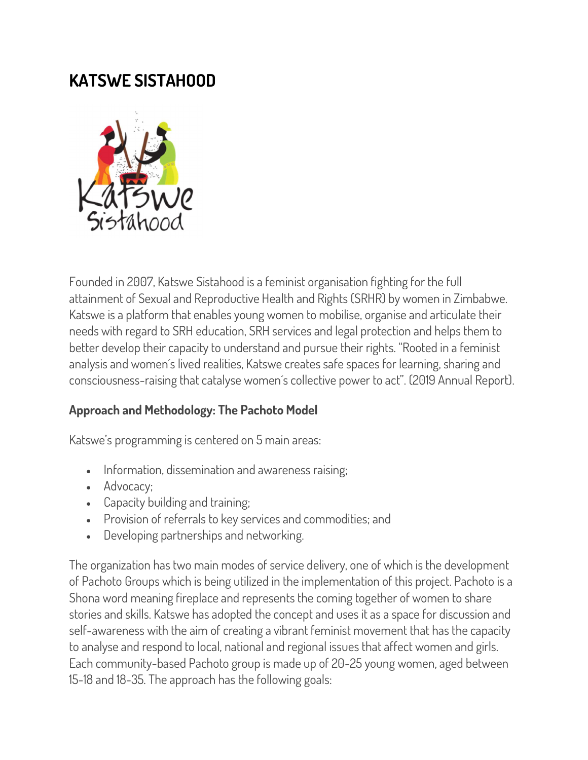## KATSWE SISTAHOOD



Founded in 2007, Katswe Sistahood is a feminist organisation fighting for the full attainment of Sexual and Reproductive Health and Rights (SRHR) by women in Zimbabwe. Katswe is a platform that enables young women to mobilise, organise and articulate their needs with regard to SRH education, SRH services and legal protection and helps them to better develop their capacity to understand and pursue their rights. "Rooted in a feminist analysis and women´s lived realities, Katswe creates safe spaces for learning, sharing and consciousness-raising that catalyse women´s collective power to act". (2019 Annual Report).

## Approach and Methodology: The Pachoto Model

Katswe's programming is centered on 5 main areas:

- Information, dissemination and awareness raising;
- Advocacy;
- Capacity building and training;
- Provision of referrals to key services and commodities; and
- Developing partnerships and networking.

The organization has two main modes of service delivery, one of which is the development of Pachoto Groups which is being utilized in the implementation of this project. Pachoto is a Shona word meaning fireplace and represents the coming together of women to share stories and skills. Katswe has adopted the concept and uses it as a space for discussion and self-awareness with the aim of creating a vibrant feminist movement that has the capacity to analyse and respond to local, national and regional issues that affect women and girls. Each community-based Pachoto group is made up of 20-25 young women, aged between 15-18 and 18-35. The approach has the following goals: